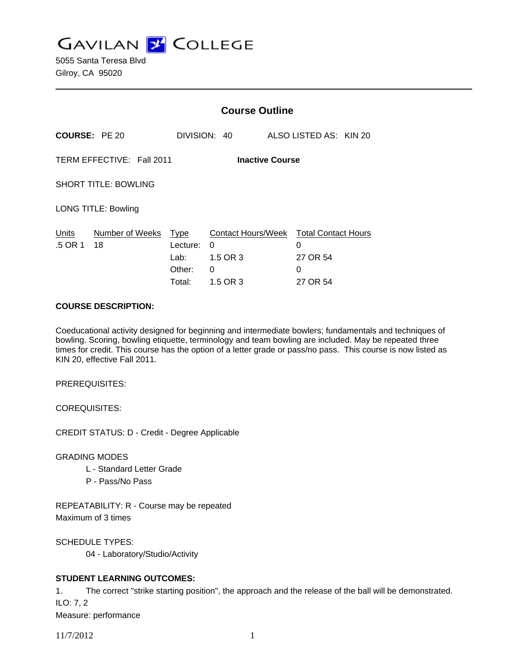**GAVILAN Z COLLEGE** 

5055 Santa Teresa Blvd Gilroy, CA 95020

|                                                     |                       | <b>Course Outline</b>                               |                                                      |        |                                                    |  |
|-----------------------------------------------------|-----------------------|-----------------------------------------------------|------------------------------------------------------|--------|----------------------------------------------------|--|
| <b>COURSE: PE 20</b>                                |                       |                                                     | DIVISION: 40                                         |        | ALSO LISTED AS: KIN 20                             |  |
| TERM EFFECTIVE: Fall 2011<br><b>Inactive Course</b> |                       |                                                     |                                                      |        |                                                    |  |
| <b>SHORT TITLE: BOWLING</b>                         |                       |                                                     |                                                      |        |                                                    |  |
| <b>LONG TITLE: Bowling</b>                          |                       |                                                     |                                                      |        |                                                    |  |
| Units<br>.5 OR 1                                    | Number of Weeks<br>18 | <b>Type</b><br>Lecture:<br>Lab:<br>Other:<br>Total: | Contact Hours/Week<br>0<br>1.5 OR 3<br>0<br>1.5 OR 3 | 0<br>0 | <b>Total Contact Hours</b><br>27 OR 54<br>27 OR 54 |  |

### **COURSE DESCRIPTION:**

Coeducational activity designed for beginning and intermediate bowlers; fundamentals and techniques of bowling. Scoring, bowling etiquette, terminology and team bowling are included. May be repeated three times for credit. This course has the option of a letter grade or pass/no pass. This course is now listed as KIN 20, effective Fall 2011.

PREREQUISITES:

COREQUISITES:

CREDIT STATUS: D - Credit - Degree Applicable

GRADING MODES

- L Standard Letter Grade
- P Pass/No Pass

REPEATABILITY: R - Course may be repeated Maximum of 3 times

SCHEDULE TYPES:

04 - Laboratory/Studio/Activity

# **STUDENT LEARNING OUTCOMES:**

1. The correct "strike starting position", the approach and the release of the ball will be demonstrated. ILO: 7, 2

Measure: performance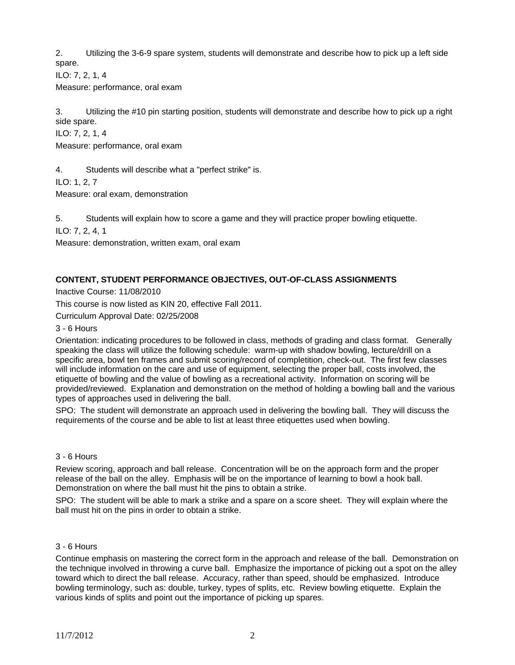2. Utilizing the 3-6-9 spare system, students will demonstrate and describe how to pick up a left side spare.

ILO: 7, 2, 1, 4

Measure: performance, oral exam

3. Utilizing the #10 pin starting position, students will demonstrate and describe how to pick up a right side spare.

ILO: 7, 2, 1, 4

Measure: performance, oral exam

4. Students will describe what a "perfect strike" is.

ILO: 1, 2, 7

Measure: oral exam, demonstration

5. Students will explain how to score a game and they will practice proper bowling etiquette.

ILO: 7, 2, 4, 1

Measure: demonstration, written exam, oral exam

# **CONTENT, STUDENT PERFORMANCE OBJECTIVES, OUT-OF-CLASS ASSIGNMENTS**

Inactive Course: 11/08/2010

This course is now listed as KIN 20, effective Fall 2011.

Curriculum Approval Date: 02/25/2008

3 - 6 Hours

Orientation: indicating procedures to be followed in class, methods of grading and class format. Generally speaking the class will utilize the following schedule: warm-up with shadow bowling, lecture/drill on a specific area, bowl ten frames and submit scoring/record of completition, check-out. The first few classes will include information on the care and use of equipment, selecting the proper ball, costs involved, the etiquette of bowling and the value of bowling as a recreational activity. Information on scoring will be provided/reviewed. Explanation and demonstration on the method of holding a bowling ball and the various types of approaches used in delivering the ball.

SPO: The student will demonstrate an approach used in delivering the bowling ball. They will discuss the requirements of the course and be able to list at least three etiquettes used when bowling.

# 3 - 6 Hours

Review scoring, approach and ball release. Concentration will be on the approach form and the proper release of the ball on the alley. Emphasis will be on the importance of learning to bowl a hook ball. Demonstration on where the ball must hit the pins to obtain a strike.

SPO: The student will be able to mark a strike and a spare on a score sheet. They will explain where the ball must hit on the pins in order to obtain a strike.

#### 3 - 6 Hours

Continue emphasis on mastering the correct form in the approach and release of the ball. Demonstration on the technique involved in throwing a curve ball. Emphasize the importance of picking out a spot on the alley toward which to direct the ball release. Accuracy, rather than speed, should be emphasized. Introduce bowling terminology, such as: double, turkey, types of splits, etc. Review bowling etiquette. Explain the various kinds of splits and point out the importance of picking up spares.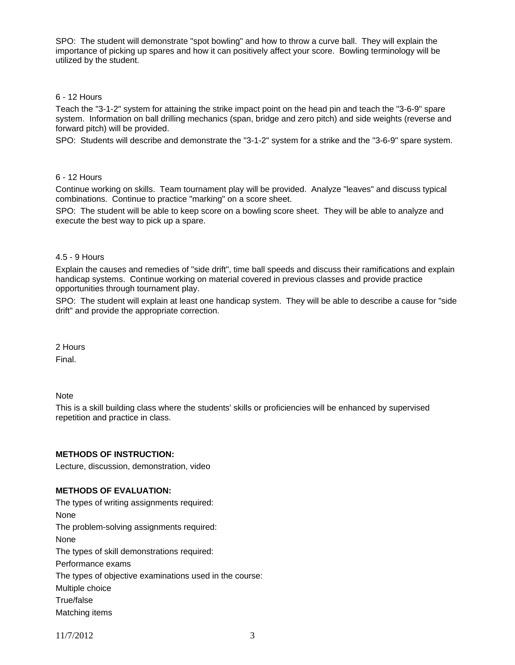SPO: The student will demonstrate "spot bowling" and how to throw a curve ball. They will explain the importance of picking up spares and how it can positively affect your score. Bowling terminology will be utilized by the student.

# 6 - 12 Hours

Teach the "3-1-2" system for attaining the strike impact point on the head pin and teach the "3-6-9" spare system. Information on ball drilling mechanics (span, bridge and zero pitch) and side weights (reverse and forward pitch) will be provided.

SPO: Students will describe and demonstrate the "3-1-2" system for a strike and the "3-6-9" spare system.

### 6 - 12 Hours

Continue working on skills. Team tournament play will be provided. Analyze "leaves" and discuss typical combinations. Continue to practice "marking" on a score sheet.

SPO: The student will be able to keep score on a bowling score sheet. They will be able to analyze and execute the best way to pick up a spare.

### 4.5 - 9 Hours

Explain the causes and remedies of "side drift", time ball speeds and discuss their ramifications and explain handicap systems. Continue working on material covered in previous classes and provide practice opportunities through tournament play.

SPO: The student will explain at least one handicap system. They will be able to describe a cause for "side drift" and provide the appropriate correction.

2 Hours Final.

**Note** 

This is a skill building class where the students' skills or proficiencies will be enhanced by supervised repetition and practice in class.

# **METHODS OF INSTRUCTION:**

Lecture, discussion, demonstration, video

## **METHODS OF EVALUATION:**

The types of writing assignments required: None The problem-solving assignments required: None The types of skill demonstrations required: Performance exams The types of objective examinations used in the course: Multiple choice True/false Matching items